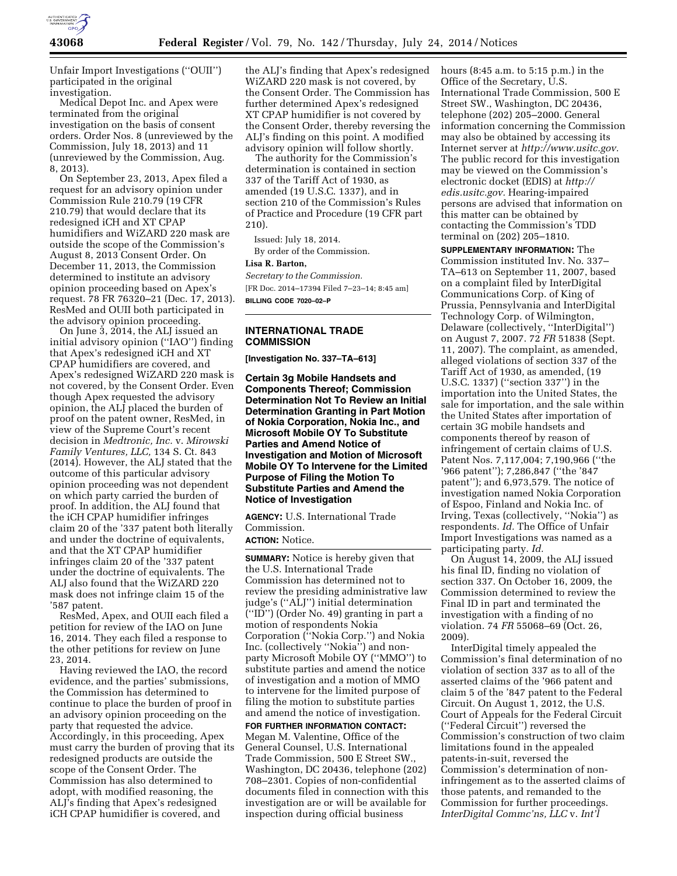

Unfair Import Investigations (''OUII'') participated in the original investigation.

Medical Depot Inc. and Apex were terminated from the original investigation on the basis of consent orders. Order Nos. 8 (unreviewed by the Commission, July 18, 2013) and 11 (unreviewed by the Commission, Aug. 8, 2013).

On September 23, 2013, Apex filed a request for an advisory opinion under Commission Rule 210.79 (19 CFR 210.79) that would declare that its redesigned iCH and XT CPAP humidifiers and WiZARD 220 mask are outside the scope of the Commission's August 8, 2013 Consent Order. On December 11, 2013, the Commission determined to institute an advisory opinion proceeding based on Apex's request. 78 FR 76320–21 (Dec. 17, 2013). ResMed and OUII both participated in the advisory opinion proceeding.

On June 3, 2014, the ALJ issued an initial advisory opinion (''IAO'') finding that Apex's redesigned iCH and XT CPAP humidifiers are covered, and Apex's redesigned WiZARD 220 mask is not covered, by the Consent Order. Even though Apex requested the advisory opinion, the ALJ placed the burden of proof on the patent owner, ResMed, in view of the Supreme Court's recent decision in *Medtronic, Inc.* v. *Mirowski Family Ventures, LLC,* 134 S. Ct. 843 (2014). However, the ALJ stated that the outcome of this particular advisory opinion proceeding was not dependent on which party carried the burden of proof. In addition, the ALJ found that the iCH CPAP humidifier infringes claim 20 of the '337 patent both literally and under the doctrine of equivalents, and that the XT CPAP humidifier infringes claim 20 of the '337 patent under the doctrine of equivalents. The ALJ also found that the WiZARD 220 mask does not infringe claim 15 of the '587 patent.

ResMed, Apex, and OUII each filed a petition for review of the IAO on June 16, 2014. They each filed a response to the other petitions for review on June 23, 2014.

Having reviewed the IAO, the record evidence, and the parties' submissions, the Commission has determined to continue to place the burden of proof in an advisory opinion proceeding on the party that requested the advice. Accordingly, in this proceeding, Apex must carry the burden of proving that its redesigned products are outside the scope of the Consent Order. The Commission has also determined to adopt, with modified reasoning, the ALJ's finding that Apex's redesigned iCH CPAP humidifier is covered, and

the ALJ's finding that Apex's redesigned WiZARD 220 mask is not covered, by the Consent Order. The Commission has further determined Apex's redesigned XT CPAP humidifier is not covered by the Consent Order, thereby reversing the ALJ's finding on this point. A modified advisory opinion will follow shortly.

The authority for the Commission's determination is contained in section 337 of the Tariff Act of 1930, as amended (19 U.S.C. 1337), and in section 210 of the Commission's Rules of Practice and Procedure (19 CFR part 210).

Issued: July 18, 2014. By order of the Commission.

#### **Lisa R. Barton,**

*Secretary to the Commission.*  [FR Doc. 2014–17394 Filed 7–23–14; 8:45 am] **BILLING CODE 7020–02–P** 

# **INTERNATIONAL TRADE COMMISSION**

**[Investigation No. 337–TA–613]** 

**Certain 3g Mobile Handsets and Components Thereof; Commission Determination Not To Review an Initial Determination Granting in Part Motion of Nokia Corporation, Nokia Inc., and Microsoft Mobile OY To Substitute Parties and Amend Notice of Investigation and Motion of Microsoft Mobile OY To Intervene for the Limited Purpose of Filing the Motion To Substitute Parties and Amend the Notice of Investigation** 

**AGENCY:** U.S. International Trade Commission. **ACTION:** Notice.

**SUMMARY:** Notice is hereby given that the U.S. International Trade Commission has determined not to review the presiding administrative law judge's (''ALJ'') initial determination (''ID'') (Order No. 49) granting in part a motion of respondents Nokia Corporation (''Nokia Corp.'') and Nokia Inc. (collectively ''Nokia'') and nonparty Microsoft Mobile OY (''MMO'') to substitute parties and amend the notice of investigation and a motion of MMO to intervene for the limited purpose of filing the motion to substitute parties and amend the notice of investigation.

**FOR FURTHER INFORMATION CONTACT:**  Megan M. Valentine, Office of the General Counsel, U.S. International Trade Commission, 500 E Street SW., Washington, DC 20436, telephone (202) 708–2301. Copies of non-confidential documents filed in connection with this investigation are or will be available for inspection during official business

hours (8:45 a.m. to 5:15 p.m.) in the Office of the Secretary, U.S. International Trade Commission, 500 E Street SW., Washington, DC 20436, telephone (202) 205–2000. General information concerning the Commission may also be obtained by accessing its Internet server at *[http://www.usitc.gov.](http://www.usitc.gov)*  The public record for this investigation may be viewed on the Commission's electronic docket (EDIS) at *[http://](http://edis.usitc.gov) [edis.usitc.gov.](http://edis.usitc.gov)* Hearing-impaired persons are advised that information on this matter can be obtained by contacting the Commission's TDD terminal on (202) 205–1810.

**SUPPLEMENTARY INFORMATION:** The Commission instituted Inv. No. 337– TA–613 on September 11, 2007, based on a complaint filed by InterDigital Communications Corp. of King of Prussia, Pennsylvania and InterDigital Technology Corp. of Wilmington, Delaware (collectively, ''InterDigital'') on August 7, 2007. 72 *FR* 51838 (Sept. 11, 2007). The complaint, as amended, alleged violations of section 337 of the Tariff Act of 1930, as amended, (19 U.S.C. 1337) (''section 337'') in the importation into the United States, the sale for importation, and the sale within the United States after importation of certain 3G mobile handsets and components thereof by reason of infringement of certain claims of U.S. Patent Nos. 7,117,004; 7,190,966 (''the '966 patent''); 7,286,847 (''the '847 patent''); and 6,973,579. The notice of investigation named Nokia Corporation of Espoo, Finland and Nokia Inc. of Irving, Texas (collectively, ''Nokia'') as respondents. *Id.* The Office of Unfair Import Investigations was named as a participating party. *Id.* 

On August 14, 2009, the ALJ issued his final ID, finding no violation of section 337. On October 16, 2009, the Commission determined to review the Final ID in part and terminated the investigation with a finding of no violation. 74 *FR* 55068–69 (Oct. 26, 2009).

InterDigital timely appealed the Commission's final determination of no violation of section 337 as to all of the asserted claims of the '966 patent and claim 5 of the '847 patent to the Federal Circuit. On August 1, 2012, the U.S. Court of Appeals for the Federal Circuit (''Federal Circuit'') reversed the Commission's construction of two claim limitations found in the appealed patents-in-suit, reversed the Commission's determination of noninfringement as to the asserted claims of those patents, and remanded to the Commission for further proceedings. *InterDigital Commc'ns, LLC* v. *Int'l*